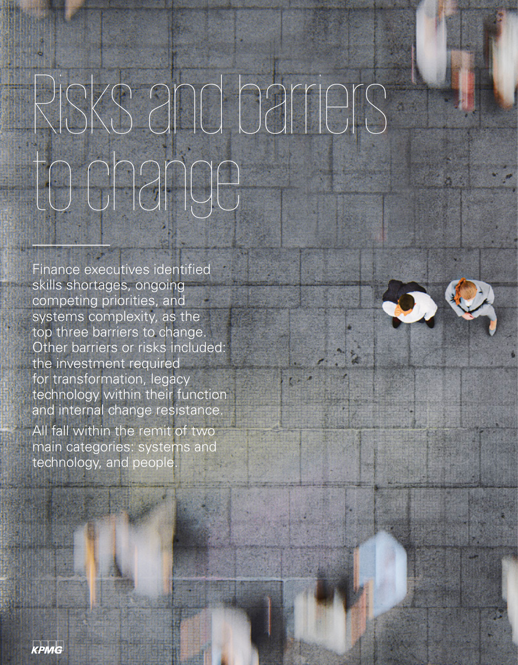## Risks and barriers to change

Finance executives identified skills shortages, ongoing competing priorities, and systems complexity, as the top three barriers to change. Other barriers or risks included: the investment required for transformation, legacy technology within their function and internal change resistance. All fall within the remit of two

main categories: systems and technology, and people.